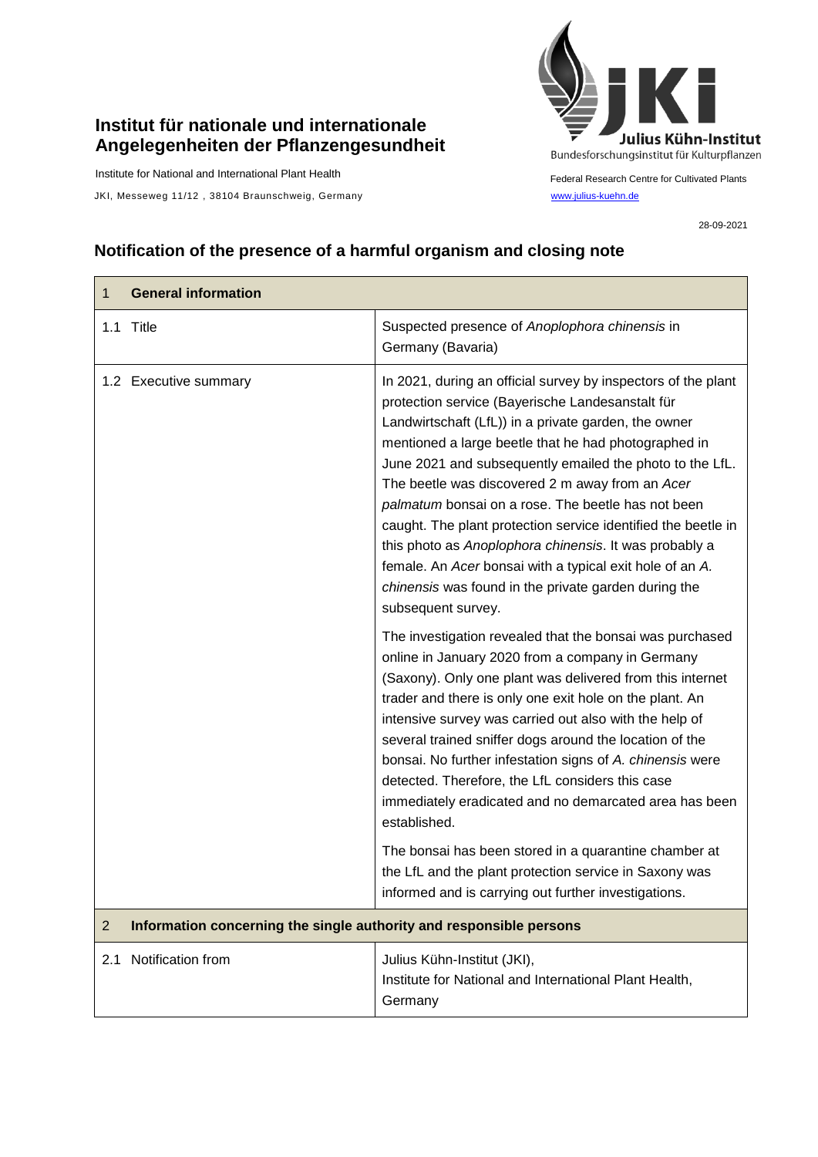## **Institut für nationale und internationale Angelegenheiten der Pflanzengesundheit**

Institute for National and International Plant Health

JKI, Messeweg 11/12, 38104 Braunschweig, Germany [www.julius-kuehn.de](http://www.julius-kuehn.de/)



Federal Research Centre for Cultivated Plants

28-09-2021

## **Notification of the presence of a harmful organism and closing note**

| 1              | <b>General information</b>                                          |                                                                                                                                                                                                                                                                                                                                                                                                                                                                                                                                                                                                                                                                             |
|----------------|---------------------------------------------------------------------|-----------------------------------------------------------------------------------------------------------------------------------------------------------------------------------------------------------------------------------------------------------------------------------------------------------------------------------------------------------------------------------------------------------------------------------------------------------------------------------------------------------------------------------------------------------------------------------------------------------------------------------------------------------------------------|
|                | 1.1 Title                                                           | Suspected presence of Anoplophora chinensis in<br>Germany (Bavaria)                                                                                                                                                                                                                                                                                                                                                                                                                                                                                                                                                                                                         |
|                | 1.2 Executive summary                                               | In 2021, during an official survey by inspectors of the plant<br>protection service (Bayerische Landesanstalt für<br>Landwirtschaft (LfL)) in a private garden, the owner<br>mentioned a large beetle that he had photographed in<br>June 2021 and subsequently emailed the photo to the LfL.<br>The beetle was discovered 2 m away from an Acer<br>palmatum bonsai on a rose. The beetle has not been<br>caught. The plant protection service identified the beetle in<br>this photo as Anoplophora chinensis. It was probably a<br>female. An Acer bonsai with a typical exit hole of an A.<br>chinensis was found in the private garden during the<br>subsequent survey. |
|                |                                                                     | The investigation revealed that the bonsai was purchased<br>online in January 2020 from a company in Germany<br>(Saxony). Only one plant was delivered from this internet<br>trader and there is only one exit hole on the plant. An<br>intensive survey was carried out also with the help of<br>several trained sniffer dogs around the location of the<br>bonsai. No further infestation signs of A. chinensis were<br>detected. Therefore, the LfL considers this case<br>immediately eradicated and no demarcated area has been<br>established.                                                                                                                        |
|                |                                                                     | The bonsai has been stored in a quarantine chamber at<br>the LfL and the plant protection service in Saxony was<br>informed and is carrying out further investigations.                                                                                                                                                                                                                                                                                                                                                                                                                                                                                                     |
| $\overline{2}$ | Information concerning the single authority and responsible persons |                                                                                                                                                                                                                                                                                                                                                                                                                                                                                                                                                                                                                                                                             |
| 2.1            | Notification from                                                   | Julius Kühn-Institut (JKI),<br>Institute for National and International Plant Health,<br>Germany                                                                                                                                                                                                                                                                                                                                                                                                                                                                                                                                                                            |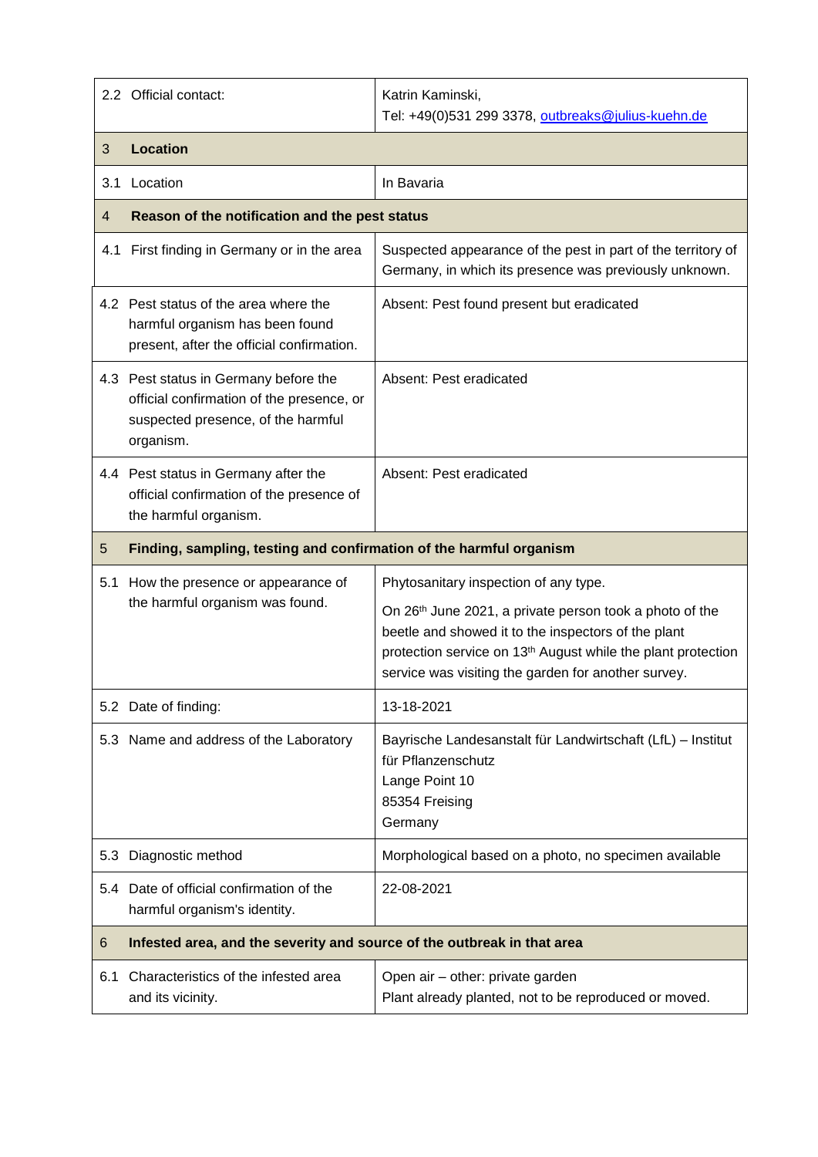|     | 2.2 Official contact:                                                                                                                 | Katrin Kaminski,<br>Tel: +49(0)531 299 3378, outbreaks@julius-kuehn.de                                                                                                                                                                                                                     |  |
|-----|---------------------------------------------------------------------------------------------------------------------------------------|--------------------------------------------------------------------------------------------------------------------------------------------------------------------------------------------------------------------------------------------------------------------------------------------|--|
| 3   | <b>Location</b>                                                                                                                       |                                                                                                                                                                                                                                                                                            |  |
| 3.1 | Location                                                                                                                              | In Bavaria                                                                                                                                                                                                                                                                                 |  |
| 4   | Reason of the notification and the pest status                                                                                        |                                                                                                                                                                                                                                                                                            |  |
| 4.1 | First finding in Germany or in the area                                                                                               | Suspected appearance of the pest in part of the territory of<br>Germany, in which its presence was previously unknown.                                                                                                                                                                     |  |
|     | 4.2 Pest status of the area where the<br>harmful organism has been found<br>present, after the official confirmation.                 | Absent: Pest found present but eradicated                                                                                                                                                                                                                                                  |  |
|     | 4.3 Pest status in Germany before the<br>official confirmation of the presence, or<br>suspected presence, of the harmful<br>organism. | Absent: Pest eradicated                                                                                                                                                                                                                                                                    |  |
|     | 4.4 Pest status in Germany after the<br>official confirmation of the presence of<br>the harmful organism.                             | Absent: Pest eradicated                                                                                                                                                                                                                                                                    |  |
| 5   | Finding, sampling, testing and confirmation of the harmful organism                                                                   |                                                                                                                                                                                                                                                                                            |  |
| 5.1 | How the presence or appearance of<br>the harmful organism was found.                                                                  | Phytosanitary inspection of any type.<br>On 26th June 2021, a private person took a photo of the<br>beetle and showed it to the inspectors of the plant<br>protection service on 13 <sup>th</sup> August while the plant protection<br>service was visiting the garden for another survey. |  |
|     | 5.2 Date of finding:                                                                                                                  | 13-18-2021                                                                                                                                                                                                                                                                                 |  |
|     | 5.3 Name and address of the Laboratory                                                                                                | Bayrische Landesanstalt für Landwirtschaft (LfL) – Institut<br>für Pflanzenschutz<br>Lange Point 10<br>85354 Freising<br>Germany                                                                                                                                                           |  |
|     | 5.3 Diagnostic method                                                                                                                 | Morphological based on a photo, no specimen available                                                                                                                                                                                                                                      |  |
|     | 5.4 Date of official confirmation of the<br>harmful organism's identity.                                                              | 22-08-2021                                                                                                                                                                                                                                                                                 |  |
| 6   | Infested area, and the severity and source of the outbreak in that area                                                               |                                                                                                                                                                                                                                                                                            |  |
| 6.1 | Characteristics of the infested area<br>and its vicinity.                                                                             | Open air - other: private garden<br>Plant already planted, not to be reproduced or moved.                                                                                                                                                                                                  |  |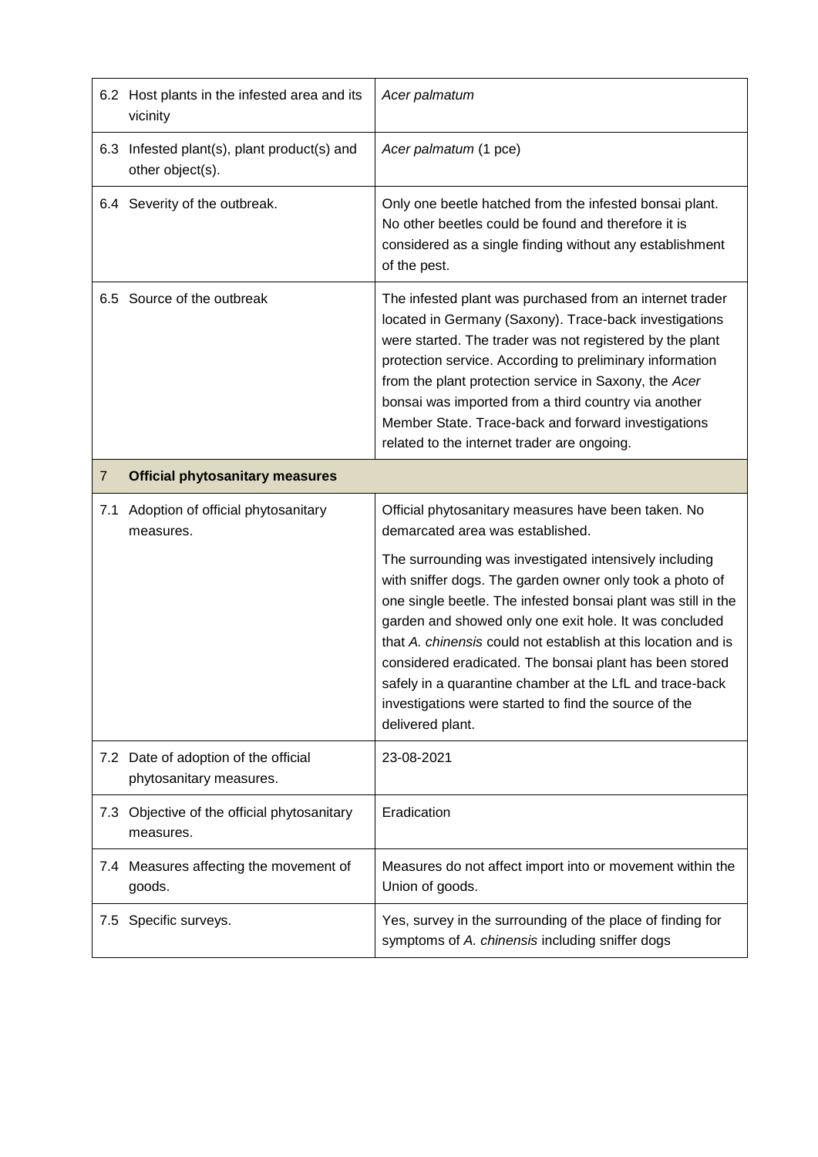|                | 6.2 Host plants in the infested area and its<br>vicinity        | Acer palmatum                                                                                                                                                                                                                                                                                                                                                                                                                                                                                                      |
|----------------|-----------------------------------------------------------------|--------------------------------------------------------------------------------------------------------------------------------------------------------------------------------------------------------------------------------------------------------------------------------------------------------------------------------------------------------------------------------------------------------------------------------------------------------------------------------------------------------------------|
| 6.3            | Infested plant(s), plant product(s) and<br>other object(s).     | Acer palmatum (1 pce)                                                                                                                                                                                                                                                                                                                                                                                                                                                                                              |
|                | 6.4 Severity of the outbreak.                                   | Only one beetle hatched from the infested bonsai plant.<br>No other beetles could be found and therefore it is<br>considered as a single finding without any establishment<br>of the pest.                                                                                                                                                                                                                                                                                                                         |
|                | 6.5 Source of the outbreak                                      | The infested plant was purchased from an internet trader<br>located in Germany (Saxony). Trace-back investigations<br>were started. The trader was not registered by the plant<br>protection service. According to preliminary information<br>from the plant protection service in Saxony, the Acer<br>bonsai was imported from a third country via another<br>Member State. Trace-back and forward investigations<br>related to the internet trader are ongoing.                                                  |
| $\overline{7}$ | <b>Official phytosanitary measures</b>                          |                                                                                                                                                                                                                                                                                                                                                                                                                                                                                                                    |
| 7.1            | Adoption of official phytosanitary<br>measures.                 | Official phytosanitary measures have been taken. No<br>demarcated area was established.                                                                                                                                                                                                                                                                                                                                                                                                                            |
|                |                                                                 | The surrounding was investigated intensively including<br>with sniffer dogs. The garden owner only took a photo of<br>one single beetle. The infested bonsai plant was still in the<br>garden and showed only one exit hole. It was concluded<br>that A. chinensis could not establish at this location and is<br>considered eradicated. The bonsai plant has been stored<br>safely in a quarantine chamber at the LfL and trace-back<br>investigations were started to find the source of the<br>delivered plant. |
|                | 7.2 Date of adoption of the official<br>phytosanitary measures. | 23-08-2021                                                                                                                                                                                                                                                                                                                                                                                                                                                                                                         |
| 7.3            | Objective of the official phytosanitary<br>measures.            | Eradication                                                                                                                                                                                                                                                                                                                                                                                                                                                                                                        |
|                |                                                                 |                                                                                                                                                                                                                                                                                                                                                                                                                                                                                                                    |
| 7.4            | Measures affecting the movement of<br>goods.                    | Measures do not affect import into or movement within the<br>Union of goods.                                                                                                                                                                                                                                                                                                                                                                                                                                       |